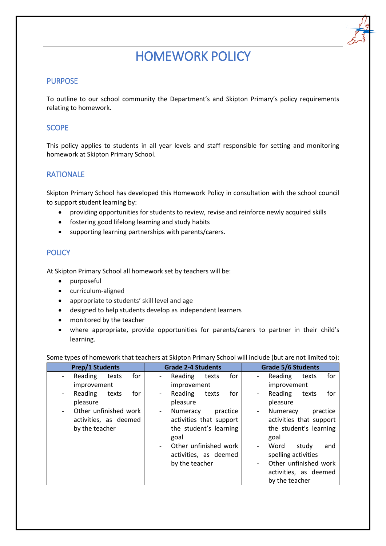# HOMEWORK POLICY

# **PURPOSE**

To outline to our school community the Department's and Skipton Primary's policy requirements relating to homework.

## **SCOPE**

This policy applies to students in all year levels and staff responsible for setting and monitoring homework at Skipton Primary School.

## RATIONALE

Skipton Primary School has developed this Homework Policy in consultation with the school council to support student learning by:

- providing opportunities for students to review, revise and reinforce newly acquired skills
- fostering good lifelong learning and study habits
- supporting learning partnerships with parents/carers.

# **POLICY**

At Skipton Primary School all homework set by teachers will be:

- purposeful
- curriculum-aligned
- appropriate to students' skill level and age
- designed to help students develop as independent learners
- monitored by the teacher
- where appropriate, provide opportunities for parents/carers to partner in their child's learning.

Some types of homework that teachers at Skipton Primary School will include (but are not limited to):

| <b>Prep/1 Students</b>              | <b>Grade 2-4 Students</b>                                       | <b>Grade 5/6 Students</b>                                       |
|-------------------------------------|-----------------------------------------------------------------|-----------------------------------------------------------------|
| for<br>Reading<br>texts             | Reading<br>for<br>texts<br>$\overline{\phantom{a}}$             | Reading<br>for<br>texts<br>$\overline{\phantom{0}}$             |
| improvement                         | improvement                                                     | improvement                                                     |
| Reading<br>for<br>texts<br>pleasure | Reading<br>texts<br>for<br>$\overline{\phantom{a}}$<br>pleasure | Reading<br>for<br>texts<br>$\overline{\phantom{a}}$<br>pleasure |
| Other unfinished work               | Numeracy<br>practice<br>$\overline{\phantom{a}}$                | Numeracy<br>practice<br>$\overline{\phantom{0}}$                |
| activities, as deemed               | activities that support                                         | activities that support                                         |
| by the teacher                      | the student's learning                                          | the student's learning                                          |
|                                     | goal                                                            | goal                                                            |
|                                     | Other unfinished work                                           | Word<br>study<br>and<br>$\overline{\phantom{0}}$                |
|                                     | activities, as deemed                                           | spelling activities                                             |
|                                     | by the teacher                                                  | Other unfinished work<br>Ξ.                                     |
|                                     |                                                                 | activities, as deemed                                           |
|                                     |                                                                 | by the teacher                                                  |